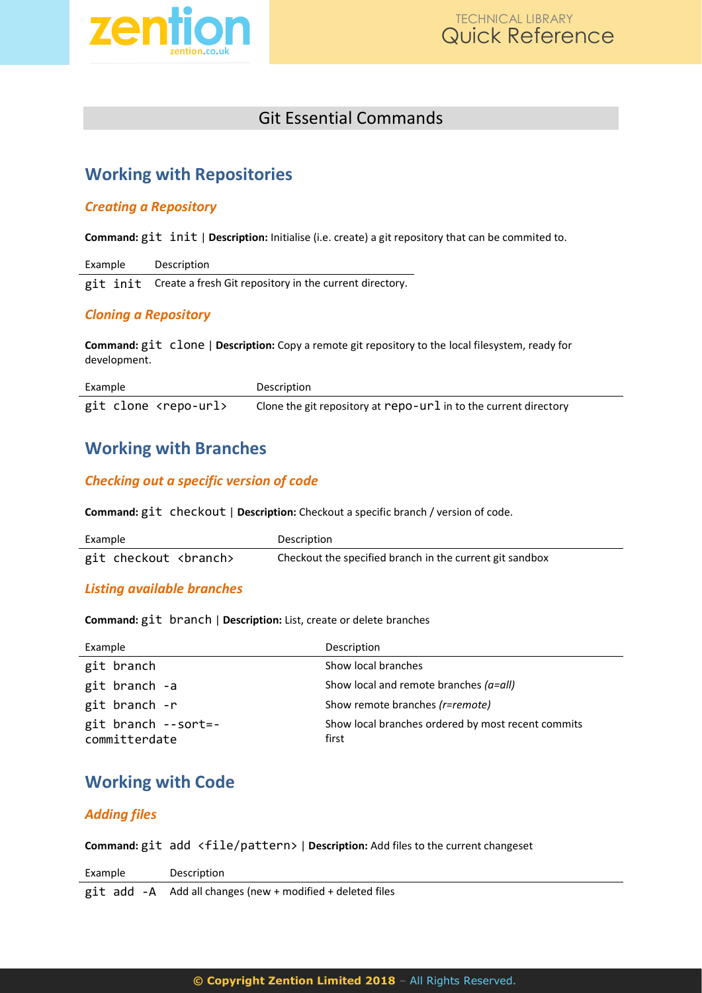

# Git Essential Commands

## **Working with Repositories**

#### *Creating a Repository*

**Command:** git init | **Description:** Initialise (i.e. create) a git repository that can be commited to.

| Example | Description                                                      |
|---------|------------------------------------------------------------------|
|         | git init Create a fresh Git repository in the current directory. |

### *Cloning a Repository*

**Command:** git clone | **Description:** Copy a remote git repository to the local filesystem, ready for development.

| Example                         | Description                                                               |
|---------------------------------|---------------------------------------------------------------------------|
| git clone <repo-url></repo-url> | Clone the git repository at $\text{repo-url}$ in to the current directory |

## **Working with Branches**

### *Checking out a specific version of code*

**Command:** git checkout | **Description:** Checkout a specific branch / version of code.

| Example          | Description                                              |
|------------------|----------------------------------------------------------|
| git checkout<br> | Checkout the specified branch in the current git sandbox |

#### *Listing available branches*

**Command:** git branch | **Description:** List, create or delete branches

| Example                                 | Description                                                 |
|-----------------------------------------|-------------------------------------------------------------|
| git branch                              | Show local branches                                         |
| git branch -a                           | Show local and remote branches $(a=all)$                    |
| git branch -r                           | Show remote branches (r=remote)                             |
| $git branch -- sort=-$<br>committerdate | Show local branches ordered by most recent commits<br>first |

# **Working with Code**

#### *Adding files*

**Command:** git add <file/pattern> | **Description:** Add files to the current changeset

| Example | Description                                                |
|---------|------------------------------------------------------------|
|         | git add -A Add all changes (new + modified + deleted files |